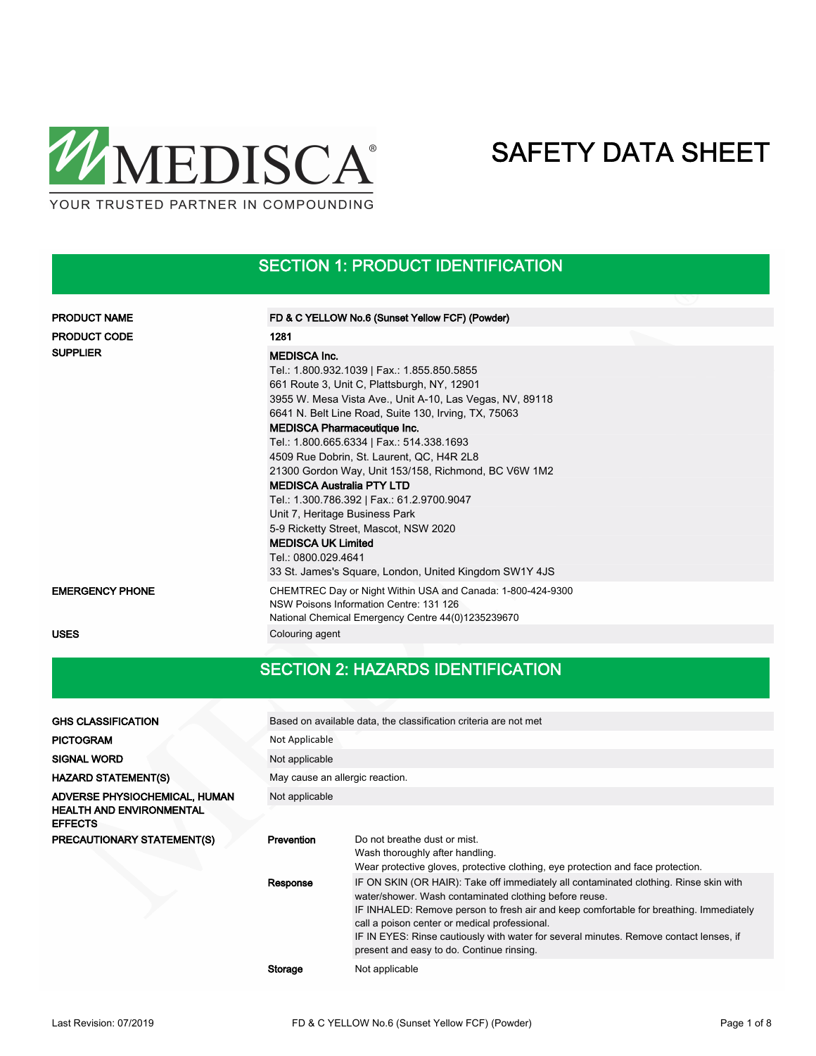

SECTION 1: PRODUCT IDENTIFICATION

| <b>PRODUCT NAME</b>    | FD & C YELLOW No.6 (Sunset Yellow FCF) (Powder)                                                                                                                                                                                                                                                                                                                                                                                                                                                                                                                                                                                                                                                          |
|------------------------|----------------------------------------------------------------------------------------------------------------------------------------------------------------------------------------------------------------------------------------------------------------------------------------------------------------------------------------------------------------------------------------------------------------------------------------------------------------------------------------------------------------------------------------------------------------------------------------------------------------------------------------------------------------------------------------------------------|
| <b>PRODUCT CODE</b>    | 1281                                                                                                                                                                                                                                                                                                                                                                                                                                                                                                                                                                                                                                                                                                     |
| <b>SUPPLIER</b>        | <b>MEDISCA Inc.</b><br>Tel.: 1.800.932.1039   Fax.: 1.855.850.5855<br>661 Route 3, Unit C, Plattsburgh, NY, 12901<br>3955 W. Mesa Vista Ave., Unit A-10, Las Vegas, NV, 89118<br>6641 N. Belt Line Road, Suite 130, Irving, TX, 75063<br><b>MEDISCA Pharmaceutique Inc.</b><br>Tel.: 1.800.665.6334   Fax.: 514.338.1693<br>4509 Rue Dobrin, St. Laurent, QC, H4R 2L8<br>21300 Gordon Way, Unit 153/158, Richmond, BC V6W 1M2<br><b>MEDISCA Australia PTY LTD</b><br>Tel.: 1.300.786.392   Fax.: 61.2.9700.9047<br>Unit 7, Heritage Business Park<br>5-9 Ricketty Street, Mascot, NSW 2020<br><b>MEDISCA UK Limited</b><br>Tel.: 0800.029.4641<br>33 St. James's Square, London, United Kingdom SW1Y 4JS |
| <b>EMERGENCY PHONE</b> | CHEMTREC Day or Night Within USA and Canada: 1-800-424-9300<br>NSW Poisons Information Centre: 131 126<br>National Chemical Emergency Centre 44(0)1235239670                                                                                                                                                                                                                                                                                                                                                                                                                                                                                                                                             |
| <b>USES</b>            | Colouring agent                                                                                                                                                                                                                                                                                                                                                                                                                                                                                                                                                                                                                                                                                          |

### SECTION 2: HAZARDS IDENTIFICATION

| <b>GHS CLASSIFICATION</b>                                                          | Based on available data, the classification criteria are not met |                                                                                                                                                                                                                                                                                                                                                                                                                                   |  |  |  |  |
|------------------------------------------------------------------------------------|------------------------------------------------------------------|-----------------------------------------------------------------------------------------------------------------------------------------------------------------------------------------------------------------------------------------------------------------------------------------------------------------------------------------------------------------------------------------------------------------------------------|--|--|--|--|
| <b>PICTOGRAM</b>                                                                   | Not Applicable                                                   |                                                                                                                                                                                                                                                                                                                                                                                                                                   |  |  |  |  |
| <b>SIGNAL WORD</b>                                                                 | Not applicable                                                   |                                                                                                                                                                                                                                                                                                                                                                                                                                   |  |  |  |  |
| <b>HAZARD STATEMENT(S)</b>                                                         | May cause an allergic reaction.                                  |                                                                                                                                                                                                                                                                                                                                                                                                                                   |  |  |  |  |
| ADVERSE PHYSIOCHEMICAL, HUMAN<br><b>HEALTH AND ENVIRONMENTAL</b><br><b>EFFECTS</b> | Not applicable                                                   |                                                                                                                                                                                                                                                                                                                                                                                                                                   |  |  |  |  |
| <b>PRECAUTIONARY STATEMENT(S)</b>                                                  | Prevention                                                       | Do not breathe dust or mist.<br>Wash thoroughly after handling.<br>Wear protective gloves, protective clothing, eye protection and face protection.                                                                                                                                                                                                                                                                               |  |  |  |  |
|                                                                                    | Response                                                         | IF ON SKIN (OR HAIR): Take off immediately all contaminated clothing. Rinse skin with<br>water/shower. Wash contaminated clothing before reuse.<br>IF INHALED: Remove person to fresh air and keep comfortable for breathing. Immediately<br>call a poison center or medical professional.<br>IF IN EYES: Rinse cautiously with water for several minutes. Remove contact lenses, if<br>present and easy to do. Continue rinsing. |  |  |  |  |
|                                                                                    | Storage                                                          | Not applicable                                                                                                                                                                                                                                                                                                                                                                                                                    |  |  |  |  |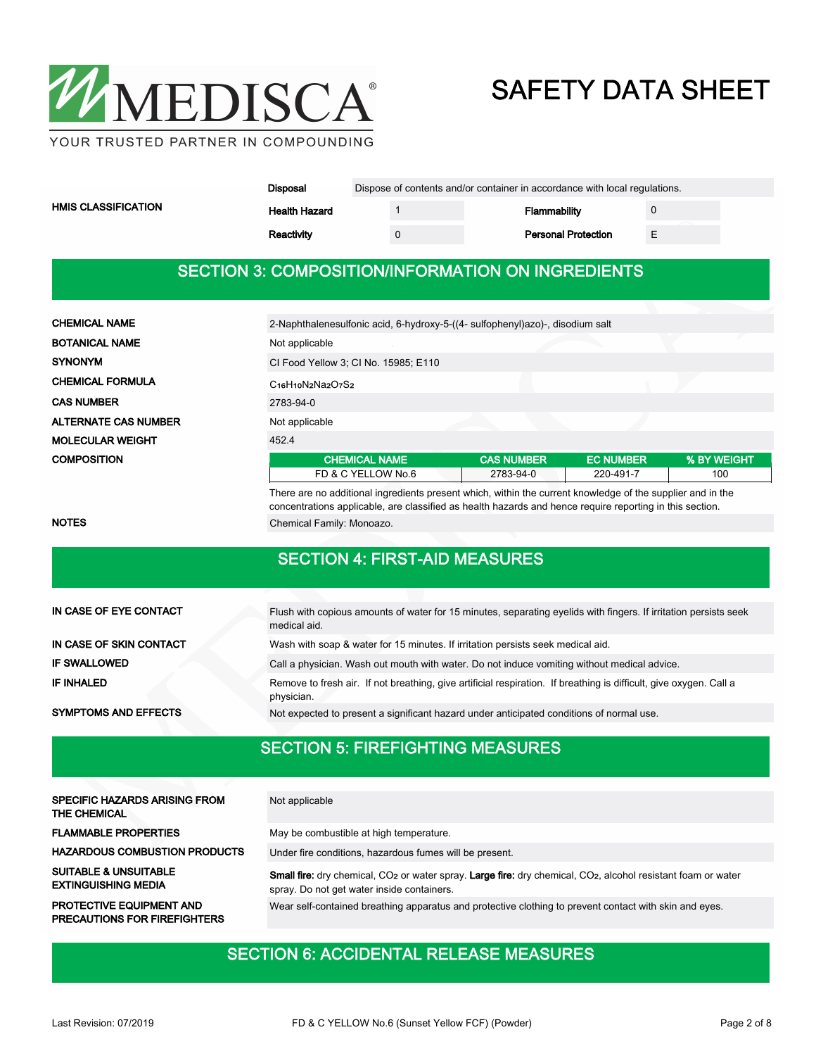

|                     | Disposal             | Dispose of contents and/or container in accordance with local regulations. |                            |  |  |  |  |
|---------------------|----------------------|----------------------------------------------------------------------------|----------------------------|--|--|--|--|
| HMIS CLASSIFICATION | <b>Health Hazard</b> |                                                                            | <b>Flammability</b>        |  |  |  |  |
|                     | Reactivity           |                                                                            | <b>Personal Protection</b> |  |  |  |  |

#### SECTION 3: COMPOSITION/INFORMATION ON INGREDIENTS

| <b>CHEMICAL NAME</b>        | 2-Naphthalenesulfonic acid, 6-hydroxy-5-((4- sulfophenyl)azo)-, disodium salt |                   |                  |             |  |  |  |
|-----------------------------|-------------------------------------------------------------------------------|-------------------|------------------|-------------|--|--|--|
| <b>BOTANICAL NAME</b>       | Not applicable                                                                |                   |                  |             |  |  |  |
| <b>SYNONYM</b>              | CI Food Yellow 3; CI No. 15985; E110                                          |                   |                  |             |  |  |  |
| <b>CHEMICAL FORMULA</b>     | $C16H10N2N32O7S2$                                                             |                   |                  |             |  |  |  |
| <b>CAS NUMBER</b>           | 2783-94-0                                                                     |                   |                  |             |  |  |  |
| <b>ALTERNATE CAS NUMBER</b> | Not applicable                                                                |                   |                  |             |  |  |  |
| <b>MOLECULAR WEIGHT</b>     | 452.4                                                                         |                   |                  |             |  |  |  |
| <b>COMPOSITION</b>          | <b>CHEMICAL NAME</b>                                                          | <b>CAS NUMBER</b> | <b>EC NUMBER</b> | % BY WEIGHT |  |  |  |
|                             | FD & C YELLOW No.6                                                            | 2783-94-0         | 220-491-7        | 100         |  |  |  |
|                             |                                                                               |                   |                  |             |  |  |  |

There are no additional ingredients present which, within the current knowledge of the supplier and in the concentrations applicable, are classified as health hazards and hence require reporting in this section. NOTES **NOTES** Chemical Family: Monoazo.

### SECTION 4: FIRST-AID MEASURES

| IN CASE OF EYE CONTACT      | Flush with copious amounts of water for 15 minutes, separating eyelids with fingers. If irritation persists seek<br>medical aid. |
|-----------------------------|----------------------------------------------------------------------------------------------------------------------------------|
| IN CASE OF SKIN CONTACT     | Wash with soap & water for 15 minutes. If irritation persists seek medical aid.                                                  |
| <b>IF SWALLOWED</b>         | Call a physician. Wash out mouth with water. Do not induce vomiting without medical advice.                                      |
| <b>IF INHALED</b>           | Remove to fresh air. If not breathing, give artificial respiration. If breathing is difficult, give oxygen. Call a<br>physician. |
| <b>SYMPTOMS AND EFFECTS</b> | Not expected to present a significant hazard under anticipated conditions of normal use.                                         |

#### SECTION 5: FIREFIGHTING MEASURES

| SPECIFIC HAZARDS ARISING FROM<br>THE CHEMICAL                          | Not applicable                                                                                                                                                                             |
|------------------------------------------------------------------------|--------------------------------------------------------------------------------------------------------------------------------------------------------------------------------------------|
| <b>FLAMMABLE PROPERTIES</b>                                            | May be combustible at high temperature.                                                                                                                                                    |
| <b>HAZARDOUS COMBUSTION PRODUCTS</b>                                   | Under fire conditions, hazardous fumes will be present.                                                                                                                                    |
| <b>SUITABLE &amp; UNSUITABLE</b><br><b>EXTINGUISHING MEDIA</b>         | <b>Small fire:</b> dry chemical, CO <sub>2</sub> or water spray. Large fire: dry chemical, CO <sub>2</sub> , alcohol resistant foam or water<br>spray. Do not get water inside containers. |
| <b>PROTECTIVE EQUIPMENT AND</b><br><b>PRECAUTIONS FOR FIREFIGHTERS</b> | Wear self-contained breathing apparatus and protective clothing to prevent contact with skin and eyes.                                                                                     |

### SECTION 6: ACCIDENTAL RELEASE MEASURES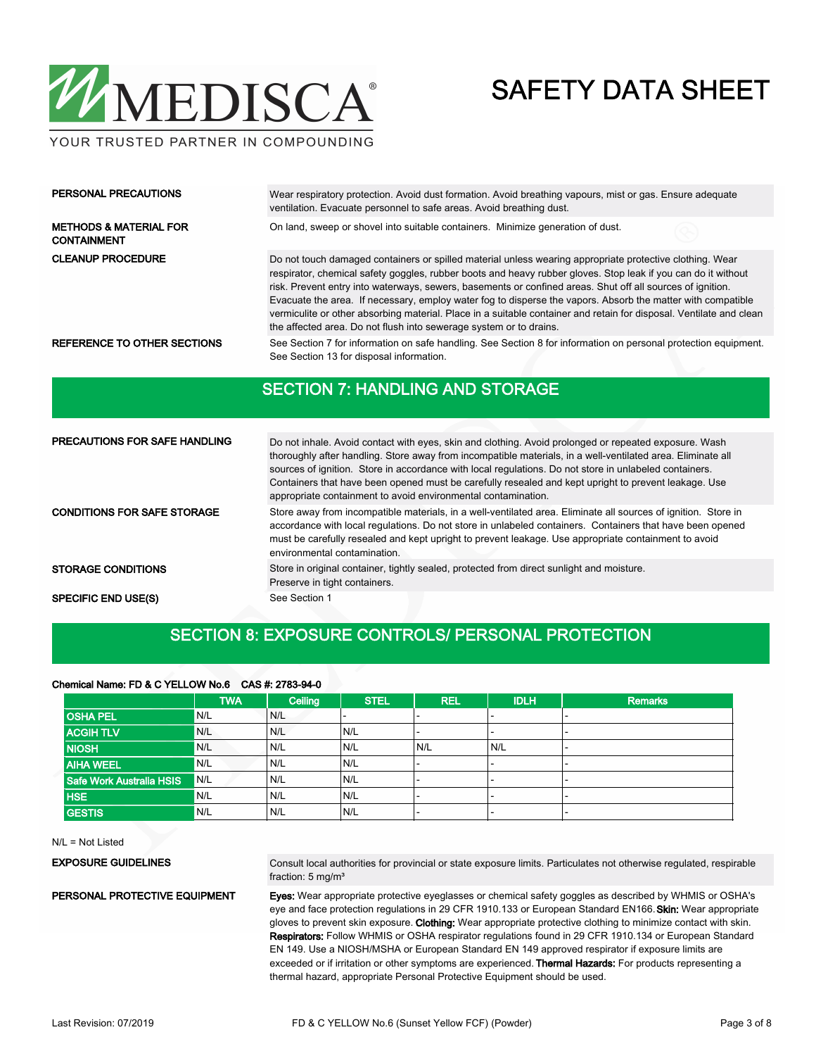

YOUR TRUSTED PARTNER IN COMPOUNDING

| PERSONAL PRECAUTIONS                                    | Wear respiratory protection. Avoid dust formation. Avoid breathing vapours, mist or gas. Ensure adequate<br>ventilation. Evacuate personnel to safe areas. Avoid breathing dust.                                                                                                                                                                                                                                                                                                                                                                                                                                                                    |
|---------------------------------------------------------|-----------------------------------------------------------------------------------------------------------------------------------------------------------------------------------------------------------------------------------------------------------------------------------------------------------------------------------------------------------------------------------------------------------------------------------------------------------------------------------------------------------------------------------------------------------------------------------------------------------------------------------------------------|
| <b>METHODS &amp; MATERIAL FOR</b><br><b>CONTAINMENT</b> | On land, sweep or shovel into suitable containers. Minimize generation of dust.                                                                                                                                                                                                                                                                                                                                                                                                                                                                                                                                                                     |
| <b>CLEANUP PROCEDURE</b>                                | Do not touch damaged containers or spilled material unless wearing appropriate protective clothing. Wear<br>respirator, chemical safety goggles, rubber boots and heavy rubber gloves. Stop leak if you can do it without<br>risk. Prevent entry into waterways, sewers, basements or confined areas. Shut off all sources of ignition.<br>Evacuate the area. If necessary, employ water fog to disperse the vapors. Absorb the matter with compatible<br>vermiculite or other absorbing material. Place in a suitable container and retain for disposal. Ventilate and clean<br>the affected area. Do not flush into sewerage system or to drains. |
| REFERENCE TO OTHER SECTIONS                             | See Section 7 for information on safe handling. See Section 8 for information on personal protection equipment.<br>See Section 13 for disposal information.                                                                                                                                                                                                                                                                                                                                                                                                                                                                                         |

#### SECTION 7: HANDLING AND STORAGE

| <b>PRECAUTIONS FOR SAFE HANDLING</b> | Do not inhale. Avoid contact with eyes, skin and clothing. Avoid prolonged or repeated exposure. Wash<br>thoroughly after handling. Store away from incompatible materials, in a well-ventilated area. Eliminate all<br>sources of ignition. Store in accordance with local regulations. Do not store in unlabeled containers.<br>Containers that have been opened must be carefully resealed and kept upright to prevent leakage. Use<br>appropriate containment to avoid environmental contamination. |  |  |  |  |
|--------------------------------------|---------------------------------------------------------------------------------------------------------------------------------------------------------------------------------------------------------------------------------------------------------------------------------------------------------------------------------------------------------------------------------------------------------------------------------------------------------------------------------------------------------|--|--|--|--|
| <b>CONDITIONS FOR SAFE STORAGE</b>   | Store away from incompatible materials, in a well-ventilated area. Eliminate all sources of ignition. Store in<br>accordance with local regulations. Do not store in unlabeled containers. Containers that have been opened<br>must be carefully resealed and kept upright to prevent leakage. Use appropriate containment to avoid<br>environmental contamination.                                                                                                                                     |  |  |  |  |
| <b>STORAGE CONDITIONS</b>            | Store in original container, tightly sealed, protected from direct sunlight and moisture.<br>Preserve in tight containers.                                                                                                                                                                                                                                                                                                                                                                              |  |  |  |  |
| <b>SPECIFIC END USE(S)</b>           | See Section 1                                                                                                                                                                                                                                                                                                                                                                                                                                                                                           |  |  |  |  |

#### SECTION 8: EXPOSURE CONTROLS/ PERSONAL PROTECTION

#### Chemical Name: FD & C YELLOW No.6 CAS #: 2783-94-0

|                          | <b>TWA</b> | Ceiling | <b>STEL</b> | <b>REL</b> | <b>IDLH</b> | <b>Remarks</b> |
|--------------------------|------------|---------|-------------|------------|-------------|----------------|
| <b>OSHA PEL</b>          | N/L        | N/L     |             |            |             |                |
| <b>ACGIH TLV</b>         | N/L        | N/L     | N/L         |            |             |                |
| <b>NIOSH</b>             | N/L        | N/L     | N/L         | N/L        | N/L         |                |
| <b>AIHA WEEL</b>         | N/L        | N/L     | N/L         |            |             |                |
| Safe Work Australia HSIS | N/L        | N/L     | N/L         |            |             |                |
| <b>HSE</b>               | N/L        | N/L     | N/L         |            |             | -              |
| <b>GESTIS</b>            | N/L        | N/L     | N/L         |            |             |                |

N/L = Not Listed

#### EXPOSURE GUIDELINES

PERSONAL PROTECTIVE EQUIPMENT

Consult local authorities for provincial or state exposure limits. Particulates not otherwise regulated, respirable fraction: 5 mg/m<sup>3</sup>

Eyes: Wear appropriate protective eyeglasses or chemical safety goggles as described by WHMIS or OSHA's eye and face protection regulations in 29 CFR 1910.133 or European Standard EN166. Skin: Wear appropriate gloves to prevent skin exposure. Clothing: Wear appropriate protective clothing to minimize contact with skin. Respirators: Follow WHMIS or OSHA respirator regulations found in 29 CFR 1910.134 or European Standard EN 149. Use a NIOSH/MSHA or European Standard EN 149 approved respirator if exposure limits are exceeded or if irritation or other symptoms are experienced. Thermal Hazards: For products representing a thermal hazard, appropriate Personal Protective Equipment should be used.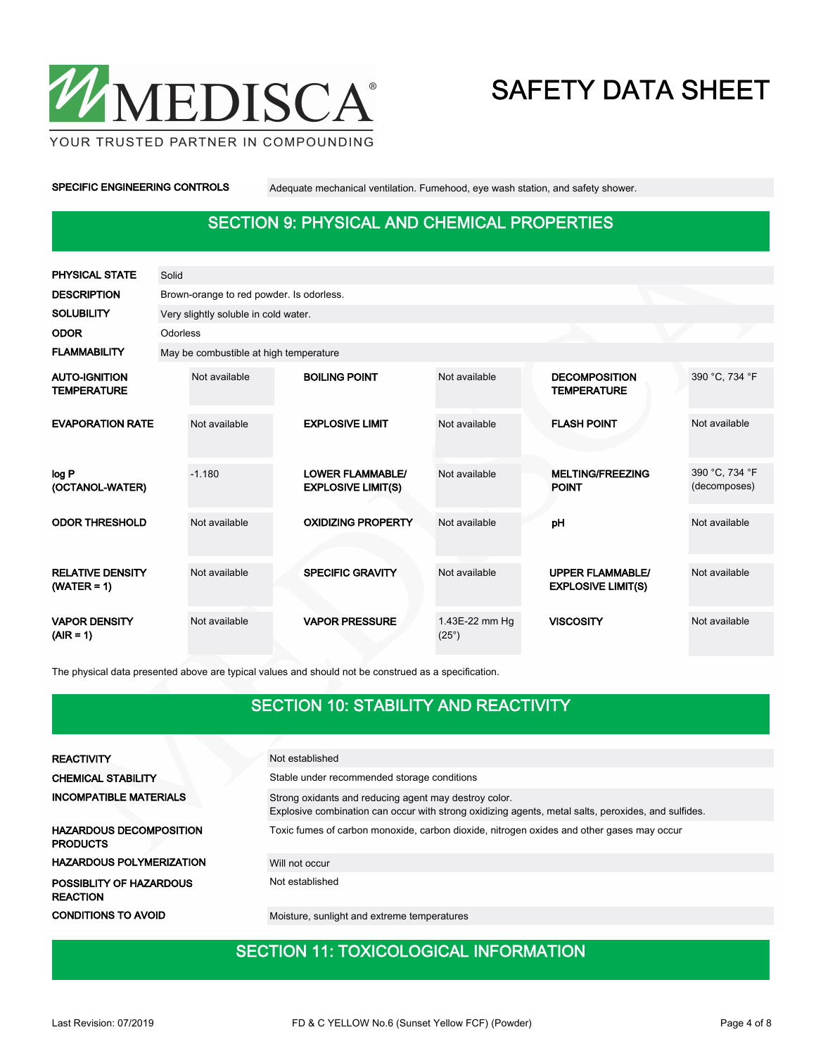

YOUR TRUSTED PARTNER IN COMPOUNDING

SPECIFIC ENGINEERING CONTROLS Adequate mechanical ventilation. Fumehood, eye wash station, and safety shower.

### SECTION 9: PHYSICAL AND CHEMICAL PROPERTIES

| <b>PHYSICAL STATE</b>                      | Solid    |                                          |  |                                                      |                                |  |                                                      |                                |
|--------------------------------------------|----------|------------------------------------------|--|------------------------------------------------------|--------------------------------|--|------------------------------------------------------|--------------------------------|
| <b>DESCRIPTION</b>                         |          | Brown-orange to red powder. Is odorless. |  |                                                      |                                |  |                                                      |                                |
| <b>SOLUBILITY</b>                          |          | Very slightly soluble in cold water.     |  |                                                      |                                |  |                                                      |                                |
| <b>ODOR</b>                                | Odorless |                                          |  |                                                      |                                |  |                                                      |                                |
| <b>FLAMMABILITY</b>                        |          | May be combustible at high temperature   |  |                                                      |                                |  |                                                      |                                |
| <b>AUTO-IGNITION</b><br><b>TEMPERATURE</b> |          | Not available                            |  | <b>BOILING POINT</b>                                 | Not available                  |  | <b>DECOMPOSITION</b><br><b>TEMPERATURE</b>           | 390 °C, 734 °F                 |
| <b>EVAPORATION RATE</b>                    |          | Not available                            |  | <b>EXPLOSIVE LIMIT</b>                               | Not available                  |  | <b>FLASH POINT</b>                                   | Not available                  |
| log P<br>(OCTANOL-WATER)                   |          | $-1.180$                                 |  | <b>LOWER FLAMMABLE/</b><br><b>EXPLOSIVE LIMIT(S)</b> | Not available                  |  | <b>MELTING/FREEZING</b><br><b>POINT</b>              | 390 °C, 734 °F<br>(decomposes) |
| <b>ODOR THRESHOLD</b>                      |          | Not available                            |  | <b>OXIDIZING PROPERTY</b>                            | Not available                  |  | pH                                                   | Not available                  |
| <b>RELATIVE DENSITY</b><br>$(WATER = 1)$   |          | Not available                            |  | <b>SPECIFIC GRAVITY</b>                              | Not available                  |  | <b>UPPER FLAMMABLE/</b><br><b>EXPLOSIVE LIMIT(S)</b> | Not available                  |
| <b>VAPOR DENSITY</b><br>$(AIR = 1)$        |          | Not available                            |  | <b>VAPOR PRESSURE</b>                                | 1.43E-22 mm Hg<br>$(25^\circ)$ |  | <b>VISCOSITY</b>                                     | Not available                  |

The physical data presented above are typical values and should not be construed as a specification.

#### SECTION 10: STABILITY AND REACTIVITY

| <b>REACTIVITY</b>                                 | Not established                                                                                                                                              |
|---------------------------------------------------|--------------------------------------------------------------------------------------------------------------------------------------------------------------|
| <b>CHEMICAL STABILITY</b>                         | Stable under recommended storage conditions                                                                                                                  |
| <b>INCOMPATIBLE MATERIALS</b>                     | Strong oxidants and reducing agent may destroy color.<br>Explosive combination can occur with strong oxidizing agents, metal salts, peroxides, and sulfides. |
| <b>HAZARDOUS DECOMPOSITION</b><br><b>PRODUCTS</b> | Toxic fumes of carbon monoxide, carbon dioxide, nitrogen oxides and other gases may occur                                                                    |
| <b>HAZARDOUS POLYMERIZATION</b>                   | Will not occur                                                                                                                                               |
| POSSIBLITY OF HAZARDOUS<br><b>REACTION</b>        | Not established                                                                                                                                              |
| <b>CONDITIONS TO AVOID</b>                        | Moisture, sunlight and extreme temperatures                                                                                                                  |

### SECTION 11: TOXICOLOGICAL INFORMATION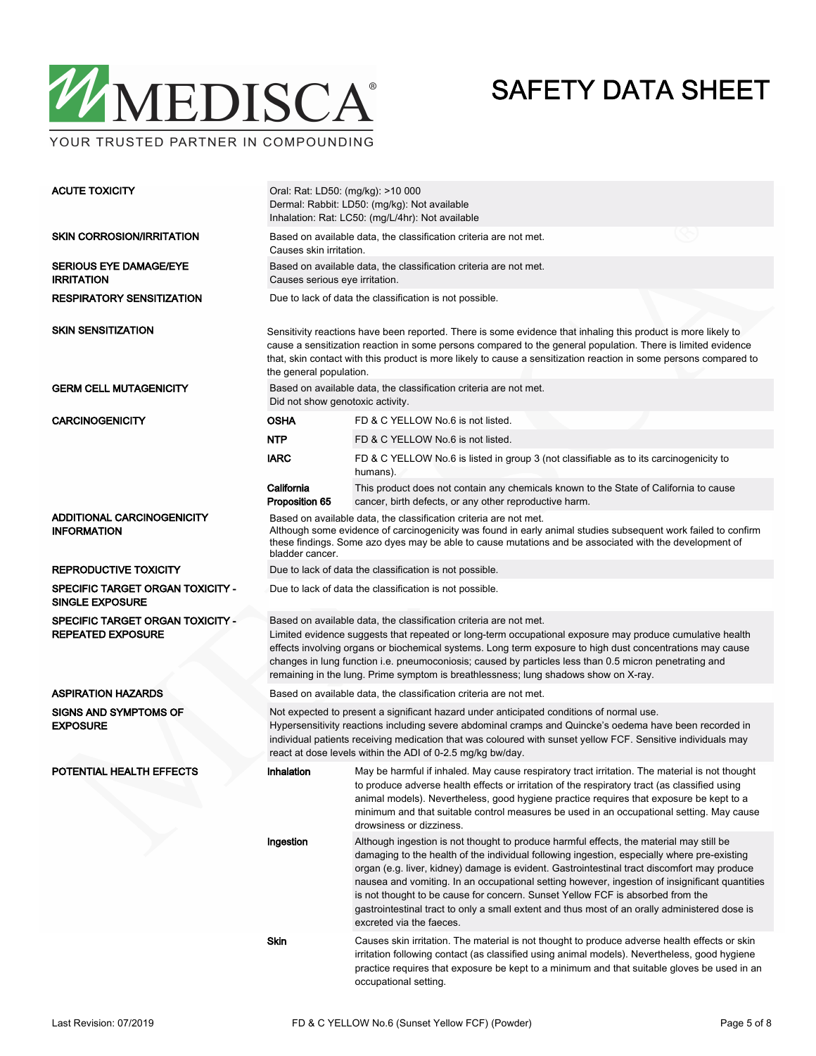

YOUR TRUSTED PARTNER IN COMPOUNDING

| <b>ACUTE TOXICITY</b>                                        | Oral: Rat: LD50: (mg/kg): >10 000<br>Dermal: Rabbit: LD50: (mg/kg): Not available<br>Inhalation: Rat: LC50: (mg/L/4hr): Not available                                                                                                                                                                                                                                                                                                                                                       |                                                                                                                                                                                                                                                                                                                                                                                                                                                                                                                                                                                                        |  |  |  |  |
|--------------------------------------------------------------|---------------------------------------------------------------------------------------------------------------------------------------------------------------------------------------------------------------------------------------------------------------------------------------------------------------------------------------------------------------------------------------------------------------------------------------------------------------------------------------------|--------------------------------------------------------------------------------------------------------------------------------------------------------------------------------------------------------------------------------------------------------------------------------------------------------------------------------------------------------------------------------------------------------------------------------------------------------------------------------------------------------------------------------------------------------------------------------------------------------|--|--|--|--|
| <b>SKIN CORROSION/IRRITATION</b>                             | Based on available data, the classification criteria are not met.<br>Causes skin irritation.                                                                                                                                                                                                                                                                                                                                                                                                |                                                                                                                                                                                                                                                                                                                                                                                                                                                                                                                                                                                                        |  |  |  |  |
| SERIOUS EYE DAMAGE/EYE<br><b>IRRITATION</b>                  | Based on available data, the classification criteria are not met.<br>Causes serious eye irritation.                                                                                                                                                                                                                                                                                                                                                                                         |                                                                                                                                                                                                                                                                                                                                                                                                                                                                                                                                                                                                        |  |  |  |  |
| RESPIRATORY SENSITIZATION                                    | Due to lack of data the classification is not possible.                                                                                                                                                                                                                                                                                                                                                                                                                                     |                                                                                                                                                                                                                                                                                                                                                                                                                                                                                                                                                                                                        |  |  |  |  |
| SKIN SENSITIZATION                                           | Sensitivity reactions have been reported. There is some evidence that inhaling this product is more likely to<br>cause a sensitization reaction in some persons compared to the general population. There is limited evidence<br>that, skin contact with this product is more likely to cause a sensitization reaction in some persons compared to<br>the general population.                                                                                                               |                                                                                                                                                                                                                                                                                                                                                                                                                                                                                                                                                                                                        |  |  |  |  |
| <b>GERM CELL MUTAGENICITY</b>                                | Based on available data, the classification criteria are not met.<br>Did not show genotoxic activity.                                                                                                                                                                                                                                                                                                                                                                                       |                                                                                                                                                                                                                                                                                                                                                                                                                                                                                                                                                                                                        |  |  |  |  |
| <b>CARCINOGENICITY</b>                                       | <b>OSHA</b>                                                                                                                                                                                                                                                                                                                                                                                                                                                                                 | FD & C YELLOW No.6 is not listed.                                                                                                                                                                                                                                                                                                                                                                                                                                                                                                                                                                      |  |  |  |  |
|                                                              | <b>NTP</b>                                                                                                                                                                                                                                                                                                                                                                                                                                                                                  | FD & C YELLOW No.6 is not listed.                                                                                                                                                                                                                                                                                                                                                                                                                                                                                                                                                                      |  |  |  |  |
|                                                              | <b>IARC</b>                                                                                                                                                                                                                                                                                                                                                                                                                                                                                 | FD & C YELLOW No.6 is listed in group 3 (not classifiable as to its carcinogenicity to<br>humans).                                                                                                                                                                                                                                                                                                                                                                                                                                                                                                     |  |  |  |  |
|                                                              | California<br>Proposition 65                                                                                                                                                                                                                                                                                                                                                                                                                                                                | This product does not contain any chemicals known to the State of California to cause<br>cancer, birth defects, or any other reproductive harm.                                                                                                                                                                                                                                                                                                                                                                                                                                                        |  |  |  |  |
| <b>ADDITIONAL CARCINOGENICITY</b><br><b>INFORMATION</b>      | Based on available data, the classification criteria are not met.<br>Although some evidence of carcinogenicity was found in early animal studies subsequent work failed to confirm<br>these findings. Some azo dyes may be able to cause mutations and be associated with the development of<br>bladder cancer.                                                                                                                                                                             |                                                                                                                                                                                                                                                                                                                                                                                                                                                                                                                                                                                                        |  |  |  |  |
| <b>REPRODUCTIVE TOXICITY</b>                                 | Due to lack of data the classification is not possible.                                                                                                                                                                                                                                                                                                                                                                                                                                     |                                                                                                                                                                                                                                                                                                                                                                                                                                                                                                                                                                                                        |  |  |  |  |
| SPECIFIC TARGET ORGAN TOXICITY -<br><b>SINGLE EXPOSURE</b>   | Due to lack of data the classification is not possible.                                                                                                                                                                                                                                                                                                                                                                                                                                     |                                                                                                                                                                                                                                                                                                                                                                                                                                                                                                                                                                                                        |  |  |  |  |
| SPECIFIC TARGET ORGAN TOXICITY -<br><b>REPEATED EXPOSURE</b> | Based on available data, the classification criteria are not met.<br>Limited evidence suggests that repeated or long-term occupational exposure may produce cumulative health<br>effects involving organs or biochemical systems. Long term exposure to high dust concentrations may cause<br>changes in lung function i.e. pneumoconiosis; caused by particles less than 0.5 micron penetrating and<br>remaining in the lung. Prime symptom is breathlessness; lung shadows show on X-ray. |                                                                                                                                                                                                                                                                                                                                                                                                                                                                                                                                                                                                        |  |  |  |  |
| <b>ASPIRATION HAZARDS</b>                                    | Based on available data, the classification criteria are not met.                                                                                                                                                                                                                                                                                                                                                                                                                           |                                                                                                                                                                                                                                                                                                                                                                                                                                                                                                                                                                                                        |  |  |  |  |
| <b>SIGNS AND SYMPTOMS OF</b><br><b>EXPOSURE</b>              | Not expected to present a significant hazard under anticipated conditions of normal use.<br>Hypersensitivity reactions including severe abdominal cramps and Quincke's oedema have been recorded in<br>individual patients receiving medication that was coloured with sunset yellow FCF. Sensitive individuals may<br>react at dose levels within the ADI of 0-2.5 mg/kg bw/day.                                                                                                           |                                                                                                                                                                                                                                                                                                                                                                                                                                                                                                                                                                                                        |  |  |  |  |
| POTENTIAL HEALTH EFFECTS                                     | Inhalation                                                                                                                                                                                                                                                                                                                                                                                                                                                                                  | May be harmful if inhaled. May cause respiratory tract irritation. The material is not thought<br>to produce adverse health effects or irritation of the respiratory tract (as classified using<br>animal models). Nevertheless, good hygiene practice requires that exposure be kept to a<br>minimum and that suitable control measures be used in an occupational setting. May cause<br>drowsiness or dizziness.                                                                                                                                                                                     |  |  |  |  |
|                                                              | Ingestion                                                                                                                                                                                                                                                                                                                                                                                                                                                                                   | Although ingestion is not thought to produce harmful effects, the material may still be<br>damaging to the health of the individual following ingestion, especially where pre-existing<br>organ (e.g. liver, kidney) damage is evident. Gastrointestinal tract discomfort may produce<br>nausea and vomiting. In an occupational setting however, ingestion of insignificant quantities<br>is not thought to be cause for concern. Sunset Yellow FCF is absorbed from the<br>gastrointestinal tract to only a small extent and thus most of an orally administered dose is<br>excreted via the faeces. |  |  |  |  |
|                                                              | Skin                                                                                                                                                                                                                                                                                                                                                                                                                                                                                        | Causes skin irritation. The material is not thought to produce adverse health effects or skin<br>irritation following contact (as classified using animal models). Nevertheless, good hygiene<br>practice requires that exposure be kept to a minimum and that suitable gloves be used in an<br>occupational setting.                                                                                                                                                                                                                                                                                  |  |  |  |  |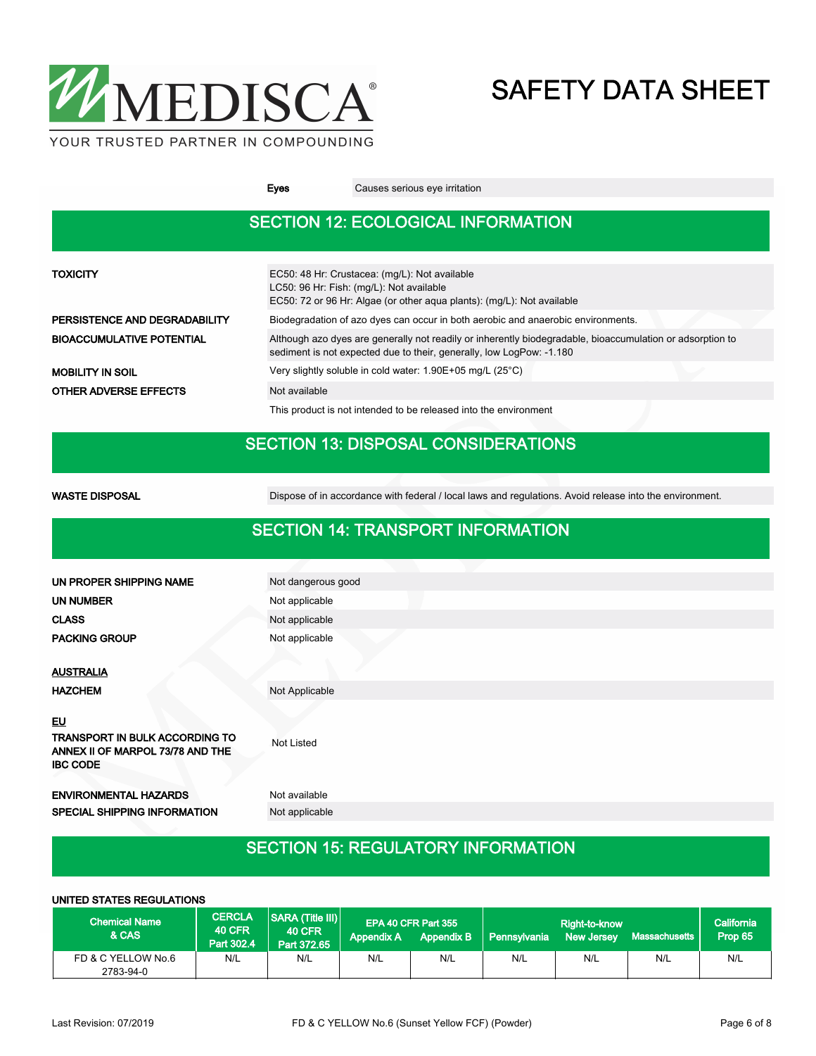

Eyes Causes serious eye irritation

### SECTION 12: ECOLOGICAL INFORMATION

| <b>TOXICITY</b>                  | EC50: 48 Hr: Crustacea: (mg/L): Not available<br>LC50: 96 Hr: Fish: (mg/L): Not available<br>EC50: 72 or 96 Hr: Algae (or other agua plants): (mg/L): Not available               |  |  |  |  |
|----------------------------------|-----------------------------------------------------------------------------------------------------------------------------------------------------------------------------------|--|--|--|--|
| PERSISTENCE AND DEGRADABILITY    | Biodegradation of azo dyes can occur in both aerobic and anaerobic environments.                                                                                                  |  |  |  |  |
| <b>BIOACCUMULATIVE POTENTIAL</b> | Although azo dyes are generally not readily or inherently biodegradable, bioaccumulation or adsorption to<br>sediment is not expected due to their, generally, low LogPow: -1.180 |  |  |  |  |
| <b>MOBILITY IN SOIL</b>          | Very slightly soluble in cold water: 1.90E+05 mg/L (25°C)                                                                                                                         |  |  |  |  |
| <b>OTHER ADVERSE EFFECTS</b>     | Not available                                                                                                                                                                     |  |  |  |  |
|                                  | This product is not intended to be released into the environment                                                                                                                  |  |  |  |  |

### SECTION 13: DISPOSAL CONSIDERATIONS

WASTE DISPOSAL **Dispose of in accordance with federal / local laws and regulations**. Avoid release into the environment.

#### SECTION 14: TRANSPORT INFORMATION

| UN PROPER SHIPPING NAME                                                               | Not dangerous good |  |  |  |  |  |
|---------------------------------------------------------------------------------------|--------------------|--|--|--|--|--|
| <b>UN NUMBER</b>                                                                      | Not applicable     |  |  |  |  |  |
| <b>CLASS</b>                                                                          | Not applicable     |  |  |  |  |  |
| <b>PACKING GROUP</b>                                                                  | Not applicable     |  |  |  |  |  |
|                                                                                       |                    |  |  |  |  |  |
| <b>AUSTRALIA</b>                                                                      |                    |  |  |  |  |  |
| <b>HAZCHEM</b>                                                                        | Not Applicable     |  |  |  |  |  |
| EU                                                                                    |                    |  |  |  |  |  |
| TRANSPORT IN BULK ACCORDING TO<br>ANNEX II OF MARPOL 73/78 AND THE<br><b>IBC CODE</b> | Not Listed         |  |  |  |  |  |
| <b>ENVIRONMENTAL HAZARDS</b>                                                          | Not available      |  |  |  |  |  |
| SPECIAL SHIPPING INFORMATION                                                          | Not applicable     |  |  |  |  |  |
|                                                                                       |                    |  |  |  |  |  |

### SECTION 15: REGULATORY INFORMATION

#### UNITED STATES REGULATIONS

| <b>Chemical Name</b><br>& CAS   | <b>CERCLA</b><br><b>40 CFR</b><br>Part 302.4 | <b>SARA (Title III)</b><br><b>40 CFR</b><br>Part 372.65 | EPA 40 CFR Part 355<br><b>Appendix B</b><br><b>Appendix A</b> |     | Right-to-know<br><b>Massachusetts</b><br>Pennsylvania<br>New Jersey |     |     | California<br>Prop 65 |
|---------------------------------|----------------------------------------------|---------------------------------------------------------|---------------------------------------------------------------|-----|---------------------------------------------------------------------|-----|-----|-----------------------|
| FD & C YELLOW No.6<br>2783-94-0 | N/L                                          | N/L                                                     | N/L                                                           | N/L | N/L                                                                 | N/L | N/L | N/L                   |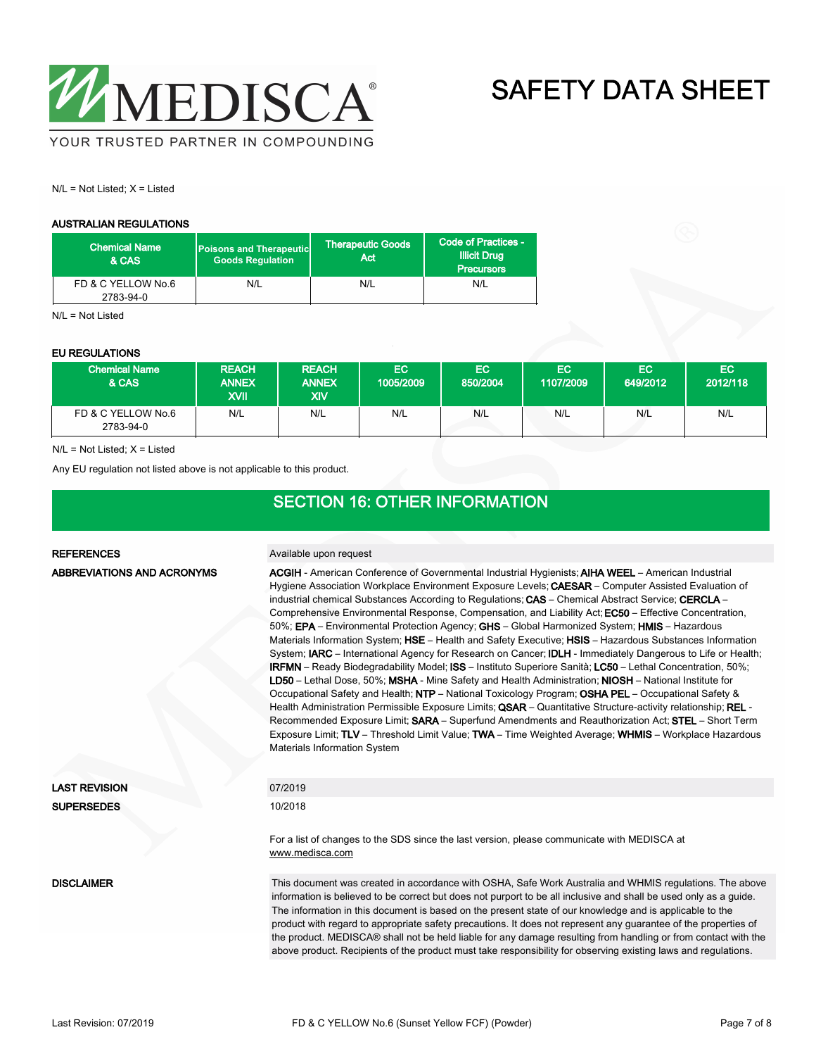

 $N/L = Not$  Listed;  $X =$  Listed

#### AUSTRALIAN REGULATIONS

| <b>Chemical Name</b><br>& CAS   | <b>Poisons and Therapeutic</b><br><b>Goods Requlation</b> | <b>Therapeutic Goods</b><br>Act | Code of Practices -<br><b>Illicit Drug</b><br><b>Precursors</b> |  |
|---------------------------------|-----------------------------------------------------------|---------------------------------|-----------------------------------------------------------------|--|
| FD & C YELLOW No.6<br>2783-94-0 | N/L                                                       | N/L                             | N/L                                                             |  |

 $N/I = N<sub>0</sub>t$  Listed

#### EU REGULATIONS

| <b>Chemical Name</b><br>& CAS   | <b>REACH</b><br><b>ANNEX</b><br>XVII | <b>REACH</b><br><b>ANNEX</b><br>XIV | EC<br>1005/2009 | EC<br>850/2004 | EC.<br>1107/2009 | EC.<br>649/2012 | EC.<br>2012/118 |
|---------------------------------|--------------------------------------|-------------------------------------|-----------------|----------------|------------------|-----------------|-----------------|
| FD & C YELLOW No.6<br>2783-94-0 | N/L                                  | N/L                                 | N/L             | N/L            | N/L              | N/L             | N/L             |

 $N/L = Not$  Listed;  $X =$  Listed

Any EU regulation not listed above is not applicable to this product.

#### SECTION 16: OTHER INFORMATION

#### REFERENCES Available upon request ACGIH - American Conference of Governmental Industrial Hygienists; AIHA WEEL – American Industrial Hygiene Association Workplace Environment Exposure Levels; CAESAR – Computer Assisted Evaluation of industrial chemical Substances According to Regulations; CAS – Chemical Abstract Service; CERCLA – Comprehensive Environmental Response, Compensation, and Liability Act; EC50 – Effective Concentration, 50%; EPA – Environmental Protection Agency; GHS – Global Harmonized System; HMIS – Hazardous Materials Information System; HSE – Health and Safety Executive; HSIS – Hazardous Substances Information System; IARC – International Agency for Research on Cancer; IDLH - Immediately Dangerous to Life or Health; IRFMN – Ready Biodegradability Model; ISS – Instituto Superiore Sanità; LC50 – Lethal Concentration, 50%; LD50 – Lethal Dose, 50%; MSHA - Mine Safety and Health Administration; NIOSH – National Institute for Occupational Safety and Health; NTP – National Toxicology Program; OSHA PEL – Occupational Safety & Health Administration Permissible Exposure Limits; QSAR - Quantitative Structure-activity relationship; REL -Recommended Exposure Limit; SARA – Superfund Amendments and Reauthorization Act; STEL – Short Term Exposure Limit; TLV – Threshold Limit Value; TWA – Time Weighted Average; WHMIS – Workplace Hazardous Materials Information System ABBREVIATIONS AND ACRONYMS LAST REVISION 07/2019 SUPERSEDES 10/2018 For a list of changes to the SDS since the last version, please communicate with MEDISCA at <www.medisca.com> This document was created in accordance with OSHA, Safe Work Australia and WHMIS regulations. The above information is believed to be correct but does not purport to be all inclusive and shall be used only as a guide. The information in this document is based on the present state of our knowledge and is applicable to the product with regard to appropriate safety precautions. It does not represent any guarantee of the properties of the product. MEDISCA® shall not be held liable for any damage resulting from handling or from contact with the above product. Recipients of the product must take responsibility for observing existing laws and regulations. **DISCLAIMER**